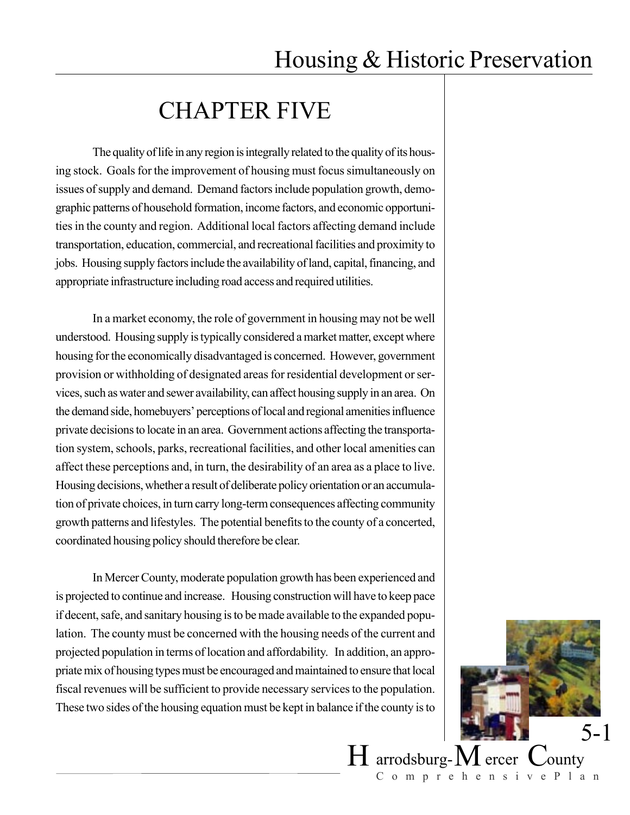## CHAPTER FIVE

The quality of life in any region is integrally related to the quality of its housing stock. Goals for the improvement of housing must focus simultaneously on issues of supply and demand. Demand factors include population growth, demographic patterns of household formation, income factors, and economic opportunities in the county and region. Additional local factors affecting demand include transportation, education, commercial, and recreational facilities and proximity to jobs. Housing supply factors include the availability of land, capital, financing, and appropriate infrastructure including road access and required utilities.

In a market economy, the role of government in housing may not be well understood. Housing supply is typically considered a market matter, except where housing for the economically disadvantaged is concerned. However, government provision or withholding of designated areas for residential development or services, such as water and sewer availability, can affect housing supply in an area. On the demand side, homebuyers' perceptions of local and regional amenities influence private decisions to locate in an area. Government actions affecting the transportation system, schools, parks, recreational facilities, and other local amenities can affect these perceptions and, in turn, the desirability of an area as a place to live. Housing decisions, whether a result of deliberate policy orientation or an accumulation of private choices, in turn carry long-term consequences affecting community growth patterns and lifestyles. The potential benefits to the county of a concerted, coordinated housing policy should therefore be clear.

In Mercer County, moderate population growth has been experienced and is projected to continue and increase. Housing construction will have to keep pace if decent, safe, and sanitary housing is to be made available to the expanded population. The county must be concerned with the housing needs of the current and projected population in terms of location and affordability. In addition, an appropriate mix of housing types must be encouraged and maintained to ensure that local fiscal revenues will be sufficient to provide necessary services to the population. These two sides of the housing equation must be kept in balance if the county is to



 $H$  arrodsburg- $M$  ercer  $C$ ounty ComprehensivePlan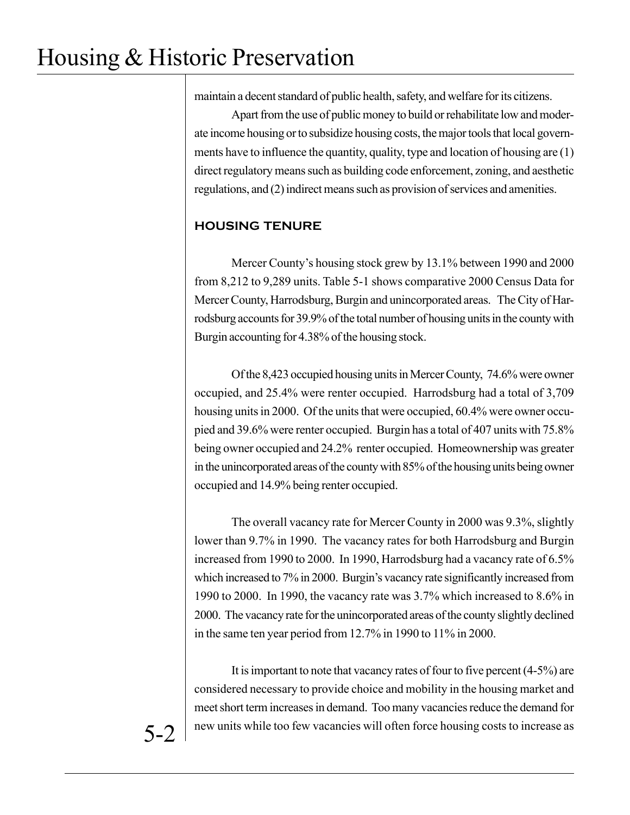maintain a decent standard of public health, safety, and welfare for its citizens.

Apart from the use of public money to build or rehabilitate low and moderate income housing or to subsidize housing costs, the major tools that local governments have to influence the quantity, quality, type and location of housing are (1) direct regulatory means such as building code enforcement, zoning, and aesthetic regulations, and (2) indirect means such as provision of services and amenities.

## **HOUSING TENURE**

Mercer County's housing stock grew by 13.1% between 1990 and 2000 from 8,212 to 9,289 units. Table 5-1 shows comparative 2000 Census Data for Mercer County, Harrodsburg, Burgin and unincorporated areas. The City of Harrodsburg accounts for 39.9% of the total number of housing units in the county with Burgin accounting for 4.38% of the housing stock.

Of the 8,423 occupied housing units in Mercer County, 74.6% were owner occupied, and 25.4% were renter occupied. Harrodsburg had a total of 3,709 housing units in 2000. Of the units that were occupied, 60.4% were owner occupied and 39.6% were renter occupied. Burgin has a total of 407 units with 75.8% being owner occupied and 24.2% renter occupied. Homeownership was greater in the unincorporated areas of the county with 85% of the housing units being owner occupied and 14.9% being renter occupied.

The overall vacancy rate for Mercer County in 2000 was 9.3%, slightly lower than 9.7% in 1990. The vacancy rates for both Harrodsburg and Burgin increased from 1990 to 2000. In 1990, Harrodsburg had a vacancy rate of 6.5% which increased to 7% in 2000. Burgin's vacancy rate significantly increased from 1990 to 2000. In 1990, the vacancy rate was 3.7% which increased to 8.6% in 2000. The vacancy rate for the unincorporated areas of the county slightly declined in the same ten year period from 12.7% in 1990 to 11% in 2000.

It is important to note that vacancy rates of four to five percent (4-5%) are considered necessary to provide choice and mobility in the housing market and meet short term increases in demand. Too many vacancies reduce the demand for new units while too few vacancies will often force housing costs to increase as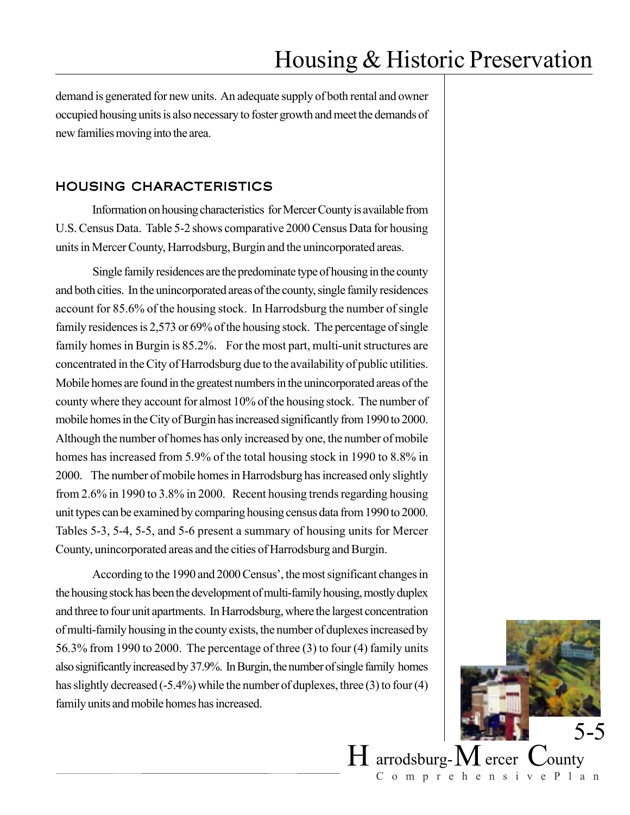demand is generated for new units. An adequate supply of both rental and owner occupied housing units is also necessary to foster growth and meet the demands of new families moving into the area.

### HOUSING CHARACTERISTICS

Information on housing characteristics for Mercer County is available from U.S. Census Data. Table 5-2 shows comparative 2000 Census Data for housing units in Mercer County, Harrodsburg, Burgin and the unincorporated areas.

Single family residences are the predominate type of housing in the county and both cities. In the unincorporated areas of the county, single family residences account for 85.6% of the housing stock. In Harrodsburg the number of single family residences is 2,573 or 69% of the housing stock. The percentage of single family homes in Burgin is 85.2%. For the most part, multi-unit structures are concentrated in the City of Harrodsburg due to the availability of public utilities. Mobile homes are found in the greatest numbers in the unincorporated areas of the county where they account for almost 10% of the housing stock. The number of mobile homes in the City of Burgin has increased significantly from 1990 to 2000. Although the number of homes has only increased by one, the number of mobile homes has increased from 5.9% of the total housing stock in 1990 to 8.8% in 2000. The number of mobile homes in Harrodsburg has increased only slightly from 2.6% in 1990 to 3.8% in 2000. Recent housing trends regarding housing unit types can be examined by comparing housing census data from 1990 to 2000. Tables 5-3, 5-4, 5-5, and 5-6 present a summary of housing units for Mercer County, unincorporated areas and the cities of Harrodsburg and Burgin.

According to the 1990 and 2000 Census', the most significant changes in the housing stock has been the development of multi-family housing, mostly duplex and three to four unit apartments. In Harrodsburg, where the largest concentration of multi-family housing in the county exists, the number of duplexes increased by 56.3% from 1990 to 2000. The percentage of three (3) to four (4) family units also significantly increased by 37.9%. In Burgin, the number of single family homes has slightly decreased (-5.4%) while the number of duplexes, three (3) to four (4) family units and mobile homes has increased.

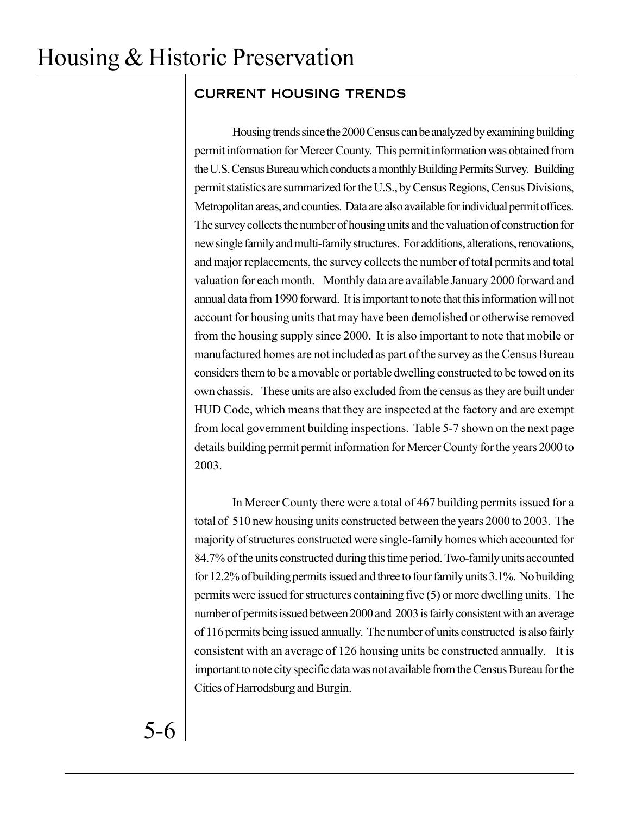## CURRENT HOUSING TRENDS

Housing trends since the 2000 Census can be analyzed by examining building permit information for Mercer County. This permit information was obtained from the U.S. Census Bureau which conducts a monthly Building Permits Survey. Building permit statistics are summarized for the U.S., by Census Regions, Census Divisions, Metropolitan areas, and counties. Data are also available for individual permit offices. The survey collects the number of housing units and the valuation of construction for new single family and multi-family structures. For additions, alterations, renovations, and major replacements, the survey collects the number of total permits and total valuation for each month. Monthly data are available January 2000 forward and annual data from 1990 forward. It is important to note that this information will not account for housing units that may have been demolished or otherwise removed from the housing supply since 2000. It is also important to note that mobile or manufactured homes are not included as part of the survey as the Census Bureau considers them to be a movable or portable dwelling constructed to be towed on its own chassis. These units are also excluded from the census as they are built under HUD Code, which means that they are inspected at the factory and are exempt from local government building inspections. Table 5-7 shown on the next page details building permit permit information for Mercer County for the years 2000 to 2003.

In Mercer County there were a total of 467 building permits issued for a total of 510 new housing units constructed between the years 2000 to 2003. The majority of structures constructed were single-family homes which accounted for 84.7% of the units constructed during this time period. Two-family units accounted for 12.2% of building permits issued and three to four family units 3.1%. No building permits were issued for structures containing five (5) or more dwelling units. The number of permits issued between 2000 and 2003 is fairly consistent with an average of 116 permits being issued annually. The number of units constructed is also fairly consistent with an average of 126 housing units be constructed annually. It is important to note city specific data was not available from the Census Bureau for the Cities of Harrodsburg and Burgin.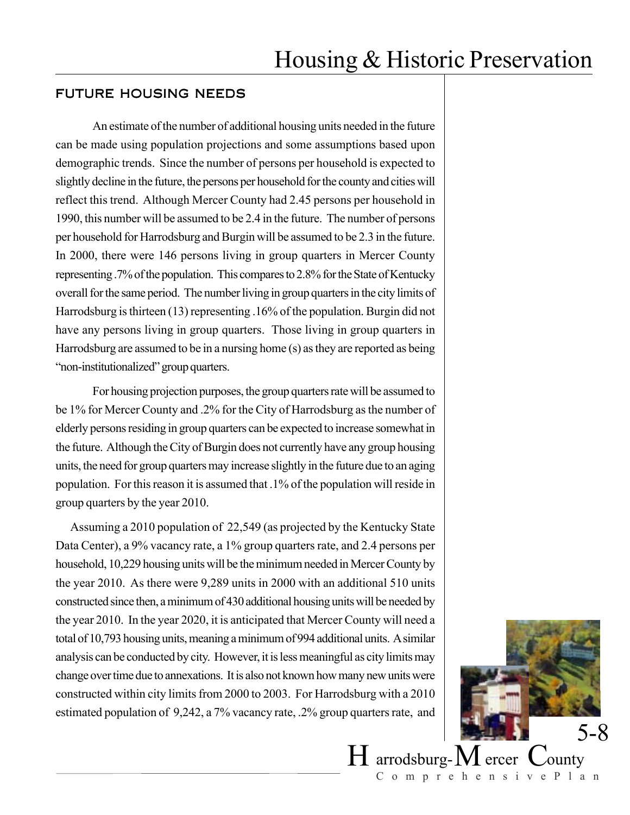### FUTURE HOUSING NEEDS

An estimate of the number of additional housing units needed in the future can be made using population projections and some assumptions based upon demographic trends. Since the number of persons per household is expected to slightly decline in the future, the persons per household for the county and cities will reflect this trend. Although Mercer County had 2.45 persons per household in 1990, this number will be assumed to be 2.4 in the future. The number of persons per household for Harrodsburg and Burgin will be assumed to be 2.3 in the future. In 2000, there were 146 persons living in group quarters in Mercer County representing .7% of the population. This compares to 2.8% for the State of Kentucky overall for the same period. The number living in group quarters in the city limits of Harrodsburg is thirteen (13) representing .16% of the population. Burgin did not have any persons living in group quarters. Those living in group quarters in Harrodsburg are assumed to be in a nursing home (s) as they are reported as being "non-institutionalized" group quarters.

For housing projection purposes, the group quarters rate will be assumed to be 1% for Mercer County and .2% for the City of Harrodsburg as the number of elderly persons residing in group quarters can be expected to increase somewhat in the future. Although the City of Burgin does not currently have any group housing units, the need for group quarters may increase slightly in the future due to an aging population. For this reason it is assumed that .1% of the population will reside in group quarters by the year 2010.

Assuming a 2010 population of 22,549 (as projected by the Kentucky State Data Center), a 9% vacancy rate, a 1% group quarters rate, and 2.4 persons per household, 10,229 housing units will be the minimum needed in Mercer County by the year 2010. As there were 9,289 units in 2000 with an additional 510 units constructed since then, a minimum of 430 additional housing units will be needed by the year 2010. In the year 2020, it is anticipated that Mercer County will need a total of 10,793 housing units, meaning a minimum of 994 additional units. A similar analysis can be conducted by city. However, it is less meaningful as city limits may change over time due to annexations. It is also not known how many new units were constructed within city limits from 2000 to 2003. For Harrodsburg with a 2010 estimated population of 9,242, a 7% vacancy rate, .2% group quarters rate, and

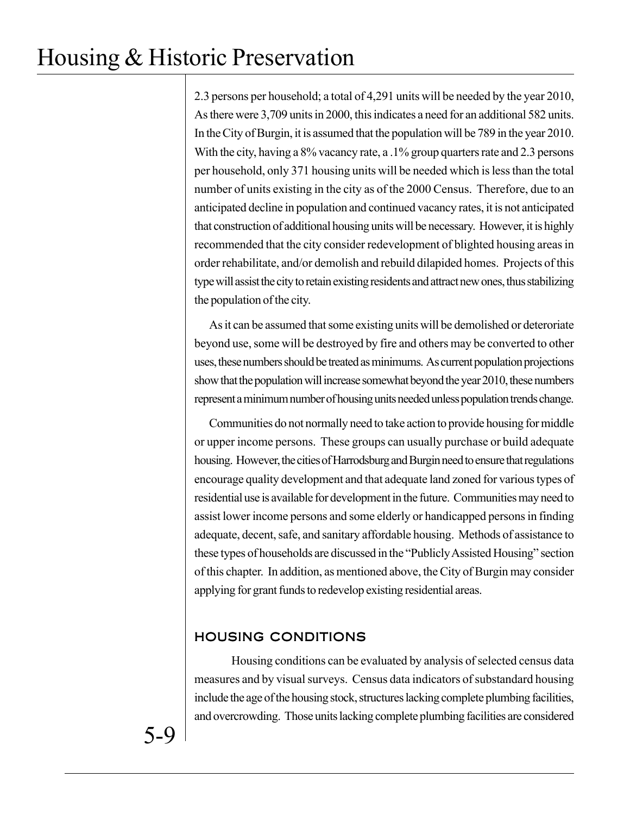2.3 persons per household; a total of 4,291 units will be needed by the year 2010, As there were 3,709 units in 2000, this indicates a need for an additional 582 units. In the City of Burgin, it is assumed that the population will be 789 in the year 2010. With the city, having a 8% vacancy rate, a .1% group quarters rate and 2.3 persons per household, only 371 housing units will be needed which is less than the total number of units existing in the city as of the 2000 Census. Therefore, due to an anticipated decline in population and continued vacancy rates, it is not anticipated that construction of additional housing units will be necessary. However, it is highly recommended that the city consider redevelopment of blighted housing areas in order rehabilitate, and/or demolish and rebuild dilapided homes. Projects of this type will assist the city to retain existing residents and attract new ones, thus stabilizing the population of the city.

As it can be assumed that some existing units will be demolished or deteroriate beyond use, some will be destroyed by fire and others may be converted to other uses, these numbers should be treated as minimums. As current population projections show that the population will increase somewhat beyond the year 2010, these numbers represent a minimum number of housing units needed unless population trends change.

Communities do not normally need to take action to provide housing for middle or upper income persons. These groups can usually purchase or build adequate housing. However, the cities of Harrodsburg and Burgin need to ensure that regulations encourage quality development and that adequate land zoned for various types of residential use is available for development in the future. Communities may need to assist lower income persons and some elderly or handicapped persons in finding adequate, decent, safe, and sanitary affordable housing. Methods of assistance to these types of households are discussed in the "Publicly Assisted Housing" section of this chapter. In addition, as mentioned above, the City of Burgin may consider applying for grant funds to redevelop existing residential areas.

## HOUSING CONDITIONS

Housing conditions can be evaluated by analysis of selected census data measures and by visual surveys. Census data indicators of substandard housing include the age of the housing stock, structures lacking complete plumbing facilities, and overcrowding. Those units lacking complete plumbing facilities are considered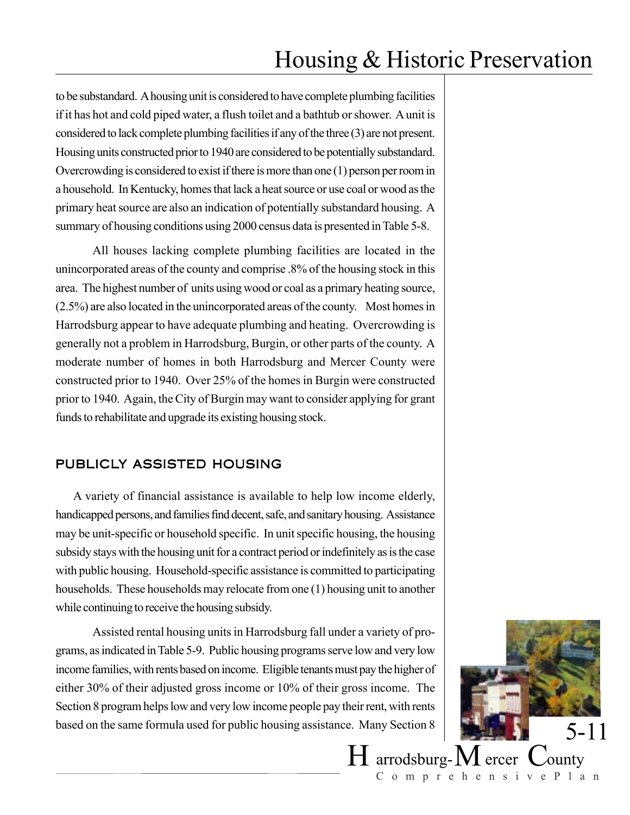to be substandard. A housing unit is considered to have complete plumbing facilities if it has hot and cold piped water, a flush toilet and a bathtub or shower. A unit is considered to lack complete plumbing facilities if any of the three (3) are not present. Housing units constructed prior to 1940 are considered to be potentially substandard. Overcrowding is considered to exist if there is more than one (1) person per room in a household. In Kentucky, homes that lack a heat source or use coal or wood as the primary heat source are also an indication of potentially substandard housing. A summary of housing conditions using 2000 census data is presented in Table 5-8.

All houses lacking complete plumbing facilities are located in the unincorporated areas of the county and comprise .8% of the housing stock in this area. The highest number of units using wood or coal as a primary heating source, (2.5%) are also located in the unincorporated areas of the county. Most homes in Harrodsburg appear to have adequate plumbing and heating. Overcrowding is generally not a problem in Harrodsburg, Burgin, or other parts of the county. A moderate number of homes in both Harrodsburg and Mercer County were constructed prior to 1940. Over 25% of the homes in Burgin were constructed prior to 1940. Again, the City of Burgin may want to consider applying for grant funds to rehabilitate and upgrade its existing housing stock.

### PUBLICLY ASSISTED HOUSING

A variety of financial assistance is available to help low income elderly, handicapped persons, and families find decent, safe, and sanitary housing. Assistance may be unit-specific or household specific. In unit specific housing, the housing subsidy stays with the housing unit for a contract period or indefinitely as is the case with public housing. Household-specific assistance is committed to participating households. These households may relocate from one (1) housing unit to another while continuing to receive the housing subsidy.

Assisted rental housing units in Harrodsburg fall under a variety of programs, as indicated in Table 5-9. Public housing programs serve low and very low income families, with rents based on income. Eligible tenants must pay the higher of either 30% of their adjusted gross income or 10% of their gross income. The Section 8 program helps low and very low income people pay their rent, with rents based on the same formula used for public housing assistance. Many Section 8

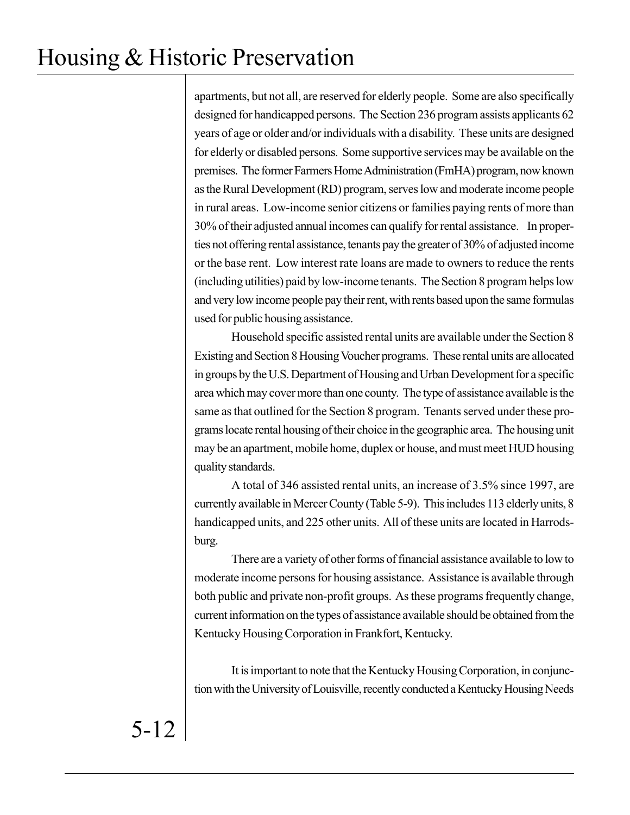apartments, but not all, are reserved for elderly people. Some are also specifically designed for handicapped persons. The Section 236 program assists applicants 62 years of age or older and/or individuals with a disability. These units are designed for elderly or disabled persons. Some supportive services may be available on the premises. The former Farmers Home Administration (FmHA) program, now known as the Rural Development (RD) program, serves low and moderate income people in rural areas. Low-income senior citizens or families paying rents of more than 30% of their adjusted annual incomes can qualify for rental assistance. In properties not offering rental assistance, tenants pay the greater of 30% of adjusted income or the base rent. Low interest rate loans are made to owners to reduce the rents (including utilities) paid by low-income tenants. The Section 8 program helps low and very low income people pay their rent, with rents based upon the same formulas used for public housing assistance.

Household specific assisted rental units are available under the Section 8 Existing and Section 8 Housing Voucher programs. These rental units are allocated in groups by the U.S. Department of Housing and Urban Development for a specific area which may cover more than one county. The type of assistance available is the same as that outlined for the Section 8 program. Tenants served under these programs locate rental housing of their choice in the geographic area. The housing unit may be an apartment, mobile home, duplex or house, and must meet HUD housing quality standards.

A total of 346 assisted rental units, an increase of 3.5% since 1997, are currently available in Mercer County (Table 5-9). This includes 113 elderly units, 8 handicapped units, and 225 other units. All of these units are located in Harrodsburg.

There are a variety of other forms of financial assistance available to low to moderate income persons for housing assistance. Assistance is available through both public and private non-profit groups. As these programs frequently change, current information on the types of assistance available should be obtained from the Kentucky Housing Corporation in Frankfort, Kentucky.

It is important to note that the Kentucky Housing Corporation, in conjunction with the University of Louisville, recently conducted a Kentucky Housing Needs

5-12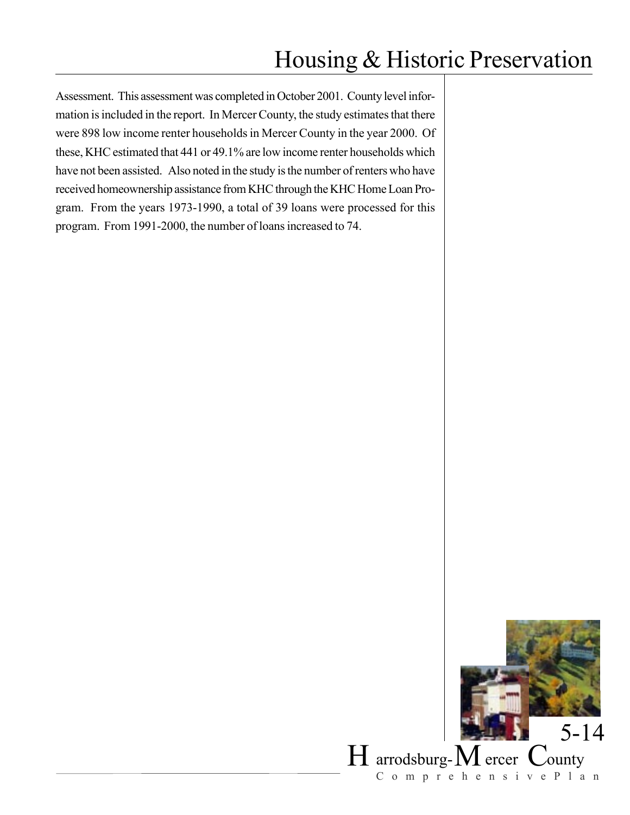Assessment. This assessment was completed in October 2001. County level information is included in the report. In Mercer County, the study estimates that there were 898 low income renter households in Mercer County in the year 2000. Of these, KHC estimated that 441 or 49.1% are low income renter households which have not been assisted. Also noted in the study is the number of renters who have received homeownership assistance from KHC through the KHC Home Loan Program. From the years 1973-1990, a total of 39 loans were processed for this program. From 1991-2000, the number of loans increased to 74.

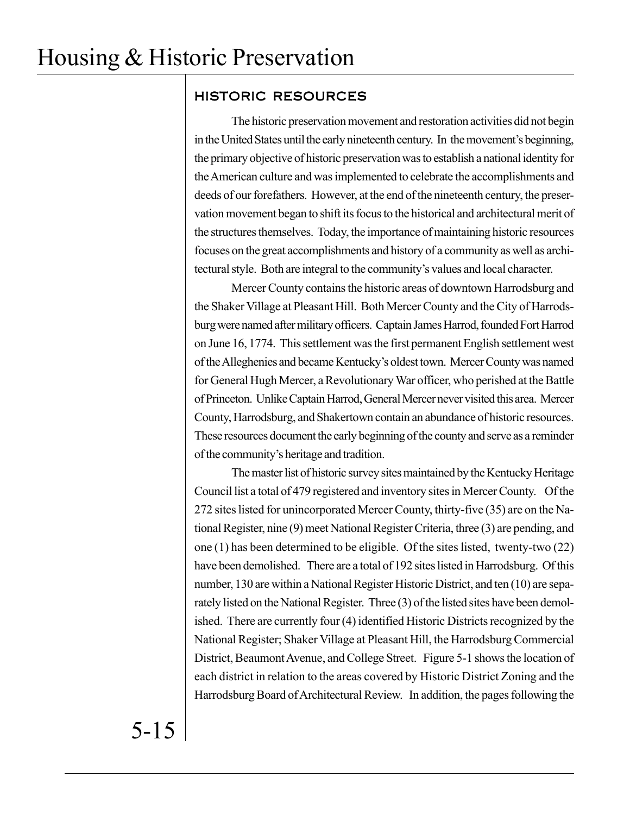## HISTORIC RESOURCES

The historic preservation movement and restoration activities did not begin in the United States until the early nineteenth century. In the movement's beginning, the primary objective of historic preservation was to establish a national identity for the American culture and was implemented to celebrate the accomplishments and deeds of our forefathers. However, at the end of the nineteenth century, the preservation movement began to shift its focus to the historical and architectural merit of the structures themselves. Today, the importance of maintaining historic resources focuses on the great accomplishments and history of a community as well as architectural style. Both are integral to the community's values and local character.

Mercer County contains the historic areas of downtown Harrodsburg and the Shaker Village at Pleasant Hill. Both Mercer County and the City of Harrodsburg were named after military officers. Captain James Harrod, founded Fort Harrod on June 16, 1774. This settlement was the first permanent English settlement west of the Alleghenies and became Kentucky's oldest town. Mercer County was named for General Hugh Mercer, a Revolutionary War officer, who perished at the Battle of Princeton. Unlike Captain Harrod, General Mercer never visited this area. Mercer County, Harrodsburg, and Shakertown contain an abundance of historic resources. These resources document the early beginning of the county and serve as a reminder of the community's heritage and tradition.

The master list of historic survey sites maintained by the Kentucky Heritage Council list a total of 479 registered and inventory sites in Mercer County. Of the 272 sites listed for unincorporated Mercer County, thirty-five (35) are on the National Register, nine (9) meet National Register Criteria, three (3) are pending, and one (1) has been determined to be eligible. Of the sites listed, twenty-two (22) have been demolished. There are a total of 192 sites listed in Harrodsburg. Of this number, 130 are within a National Register Historic District, and ten (10) are separately listed on the National Register. Three (3) of the listed sites have been demolished. There are currently four (4) identified Historic Districts recognized by the National Register; Shaker Village at Pleasant Hill, the Harrodsburg Commercial District, Beaumont Avenue, and College Street. Figure 5-1 shows the location of each district in relation to the areas covered by Historic District Zoning and the Harrodsburg Board of Architectural Review. In addition, the pages following the

5-15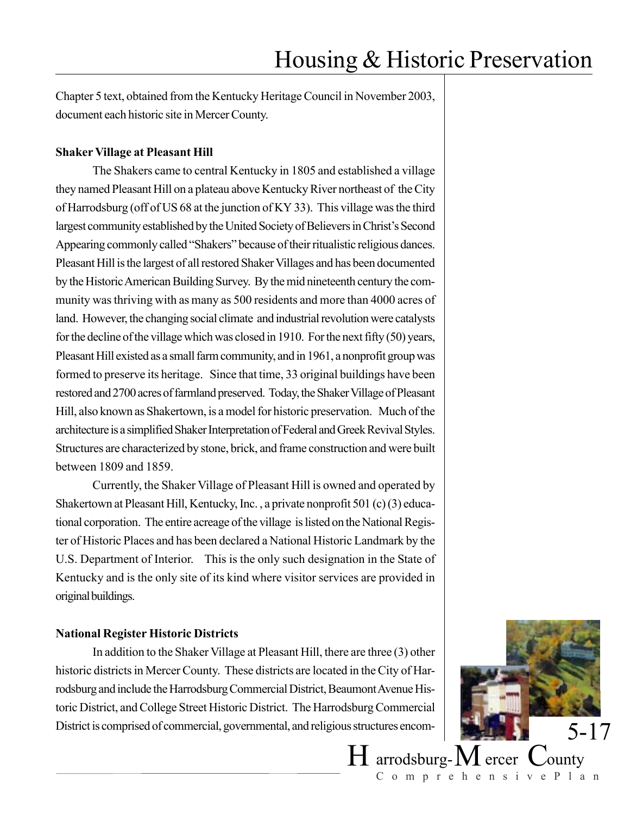Chapter 5 text, obtained from the Kentucky Heritage Council in November 2003, document each historic site in Mercer County.

### **Shaker Village at Pleasant Hill**

The Shakers came to central Kentucky in 1805 and established a village they named Pleasant Hill on a plateau above Kentucky River northeast of the City of Harrodsburg (off of US 68 at the junction of KY 33). This village was the third largest community established by the United Society of Believers in Christ's Second Appearing commonly called "Shakers" because of their ritualistic religious dances. Pleasant Hill is the largest of all restored Shaker Villages and has been documented by the Historic American Building Survey. By the mid nineteenth century the community was thriving with as many as 500 residents and more than 4000 acres of land. However, the changing social climate and industrial revolution were catalysts for the decline of the village which was closed in 1910. For the next fifty (50) years, Pleasant Hill existed as a small farm community, and in 1961, a nonprofit group was formed to preserve its heritage. Since that time, 33 original buildings have been restored and 2700 acres of farmland preserved. Today, the Shaker Village of Pleasant Hill, also known as Shakertown, is a model for historic preservation. Much of the architecture is a simplified Shaker Interpretation of Federal and Greek Revival Styles. Structures are characterized by stone, brick, and frame construction and were built between 1809 and 1859.

Currently, the Shaker Village of Pleasant Hill is owned and operated by Shakertown at Pleasant Hill, Kentucky, Inc. , a private nonprofit 501 (c) (3) educational corporation. The entire acreage of the village is listed on the National Register of Historic Places and has been declared a National Historic Landmark by the U.S. Department of Interior. This is the only such designation in the State of Kentucky and is the only site of its kind where visitor services are provided in original buildings.

### **National Register Historic Districts**

In addition to the Shaker Village at Pleasant Hill, there are three (3) other historic districts in Mercer County. These districts are located in the City of Harrodsburg and include the Harrodsburg Commercial District, Beaumont Avenue Historic District, and College Street Historic District. The Harrodsburg Commercial District is comprised of commercial, governmental, and religious structures encom-

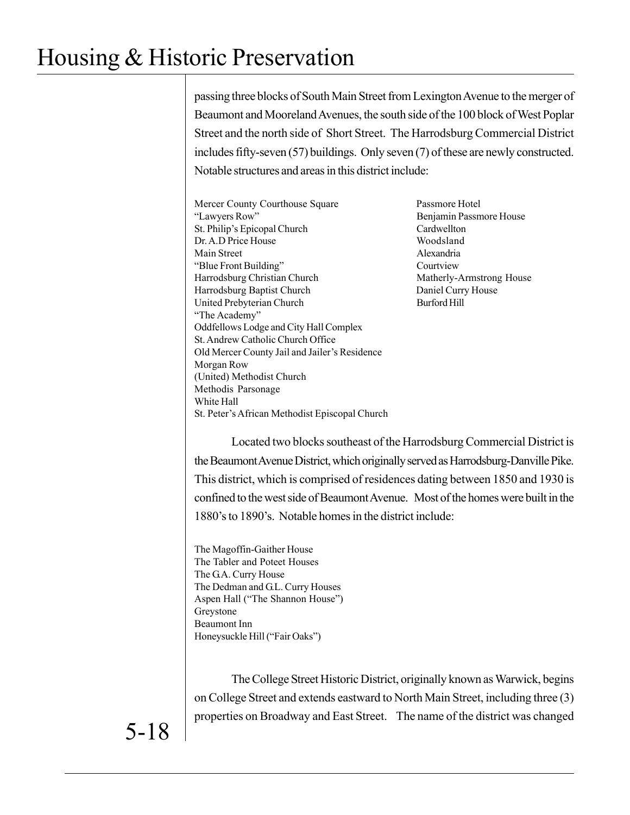passing three blocks of South Main Street from Lexington Avenue to the merger of Beaumont and Mooreland Avenues, the south side of the 100 block of West Poplar Street and the north side of Short Street. The Harrodsburg Commercial District includes fifty-seven (57) buildings. Only seven (7) of these are newly constructed. Notable structures and areas in this district include:

- Mercer County Courthouse Square Passmore Hotel "Lawyers Row" Benjamin Passmore House St. Philip's Epicopal Church Cardwellton Dr. A.D Price House Woodsland Main Street Alexandria "Blue Front Building" Courtview Harrodsburg Christian Church Matherly-Armstrong House Harrodsburg Baptist Church Daniel Curry House United Prebyterian Church Burford Hill "The Academy" Oddfellows Lodge and City Hall Complex St. Andrew Catholic Church Office Old Mercer County Jail and Jailer's Residence Morgan Row (United) Methodist Church Methodis Parsonage White Hall St. Peter's African Methodist Episcopal Church
	-

Located two blocks southeast of the Harrodsburg Commercial District is the Beaumont Avenue District, which originally served as Harrodsburg-Danville Pike. This district, which is comprised of residences dating between 1850 and 1930 is confined to the west side of Beaumont Avenue. Most of the homes were built in the 1880's to 1890's. Notable homes in the district include:

The Magoffin-Gaither House The Tabler and Poteet Houses The G.A. Curry House The Dedman and G.L. Curry Houses Aspen Hall ("The Shannon House") Greystone Beaumont Inn Honeysuckle Hill ("Fair Oaks")

The College Street Historic District, originally known as Warwick, begins on College Street and extends eastward to North Main Street, including three (3) properties on Broadway and East Street. The name of the district was changed

5-18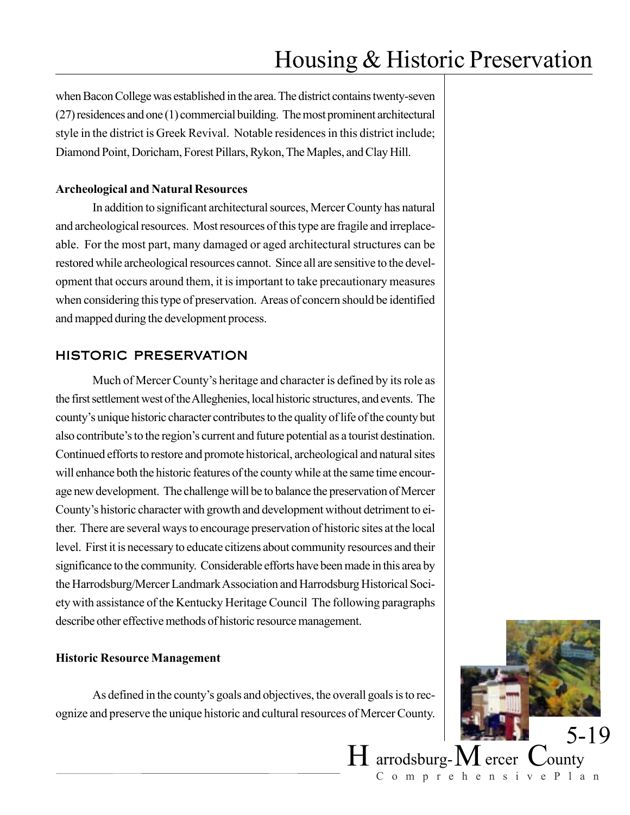when Bacon College was established in the area. The district contains twenty-seven (27) residences and one (1) commercial building. The most prominent architectural style in the district is Greek Revival. Notable residences in this district include; Diamond Point, Doricham, Forest Pillars, Rykon, The Maples, and Clay Hill.

#### **Archeological and Natural Resources**

In addition to significant architectural sources, Mercer County has natural and archeological resources. Most resources of this type are fragile and irreplaceable. For the most part, many damaged or aged architectural structures can be restored while archeological resources cannot. Since all are sensitive to the development that occurs around them, it is important to take precautionary measures when considering this type of preservation. Areas of concern should be identified and mapped during the development process.

### HISTORIC PRESERVATION

Much of Mercer County's heritage and character is defined by its role as the first settlement west of the Alleghenies, local historic structures, and events. The county's unique historic character contributes to the quality of life of the county but also contribute's to the region's current and future potential as a tourist destination. Continued efforts to restore and promote historical, archeological and natural sites will enhance both the historic features of the county while at the same time encourage new development. The challenge will be to balance the preservation of Mercer County's historic character with growth and development without detriment to either. There are several ways to encourage preservation of historic sites at the local level. First it is necessary to educate citizens about community resources and their significance to the community. Considerable efforts have been made in this area by the Harrodsburg/Mercer Landmark Association and Harrodsburg Historical Society with assistance of the Kentucky Heritage Council The following paragraphs describe other effective methods of historic resource management.

#### **Historic Resource Management**

As defined in the county's goals and objectives, the overall goals is to recognize and preserve the unique historic and cultural resources of Mercer County.

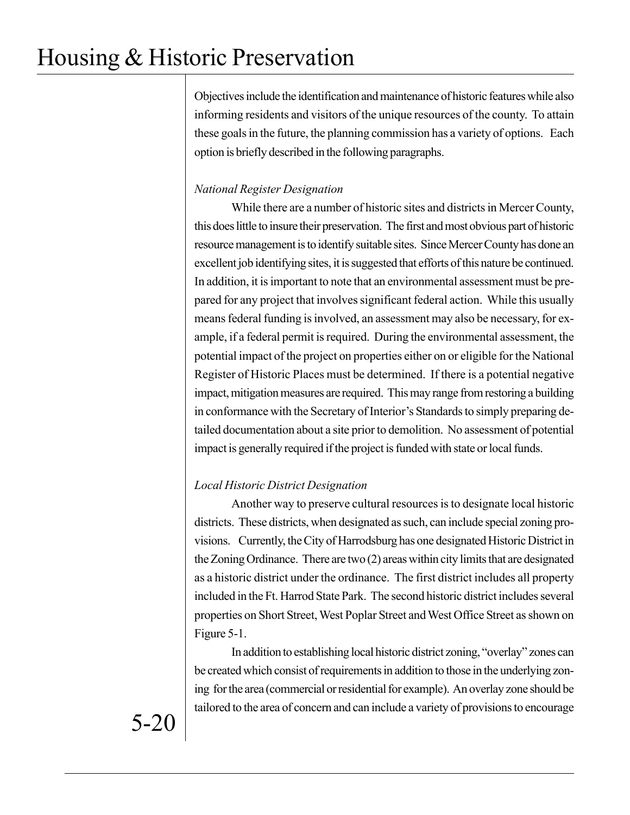Objectives include the identification and maintenance of historic features while also informing residents and visitors of the unique resources of the county. To attain these goals in the future, the planning commission has a variety of options. Each option is briefly described in the following paragraphs.

### *National Register Designation*

While there are a number of historic sites and districts in Mercer County, this does little to insure their preservation. The first and most obvious part of historic resource management is to identify suitable sites. Since Mercer County has done an excellent job identifying sites, it is suggested that efforts of this nature be continued. In addition, it is important to note that an environmental assessment must be prepared for any project that involves significant federal action. While this usually means federal funding is involved, an assessment may also be necessary, for example, if a federal permit is required. During the environmental assessment, the potential impact of the project on properties either on or eligible for the National Register of Historic Places must be determined. If there is a potential negative impact, mitigation measures are required. This may range from restoring a building in conformance with the Secretary of Interior's Standards to simply preparing detailed documentation about a site prior to demolition. No assessment of potential impact is generally required if the project is funded with state or local funds.

## *Local Historic District Designation*

Another way to preserve cultural resources is to designate local historic districts. These districts, when designated as such, can include special zoning provisions. Currently, the City of Harrodsburg has one designated Historic District in the Zoning Ordinance. There are two (2) areas within city limits that are designated as a historic district under the ordinance. The first district includes all property included in the Ft. Harrod State Park. The second historic district includes several properties on Short Street, West Poplar Street and West Office Street as shown on Figure 5-1.

In addition to establishing local historic district zoning, "overlay" zones can be created which consist of requirements in addition to those in the underlying zoning for the area (commercial or residential for example). An overlay zone should be tailored to the area of concern and can include a variety of provisions to encourage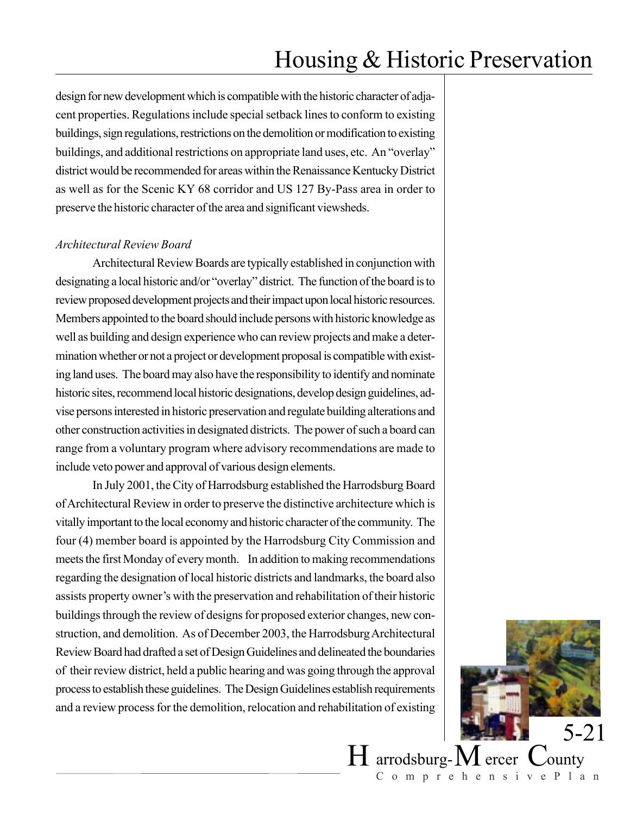design for new development which is compatible with the historic character of adjacent properties. Regulations include special setback lines to conform to existing buildings, sign regulations, restrictions on the demolition or modification to existing buildings, and additional restrictions on appropriate land uses, etc. An "overlay" district would be recommended for areas within the Renaissance Kentucky District as well as for the Scenic KY 68 corridor and US 127 By-Pass area in order to preserve the historic character of the area and significant viewsheds.

### *Architectural Review Board*

Architectural Review Boards are typically established in conjunction with designating a local historic and/or "overlay" district. The function of the board is to review proposed development projects and their impact upon local historic resources. Members appointed to the board should include persons with historic knowledge as well as building and design experience who can review projects and make a determination whether or not a project or development proposal is compatible with existing land uses. The board may also have the responsibility to identify and nominate historic sites, recommend local historic designations, develop design guidelines, advise persons interested in historic preservation and regulate building alterations and other construction activities in designated districts. The power of such a board can range from a voluntary program where advisory recommendations are made to include veto power and approval of various design elements.

In July 2001, the City of Harrodsburg established the Harrodsburg Board of Architectural Review in order to preserve the distinctive architecture which is vitally important to the local economy and historic character of the community. The four (4) member board is appointed by the Harrodsburg City Commission and meets the first Monday of every month. In addition to making recommendations regarding the designation of local historic districts and landmarks, the board also assists property owner's with the preservation and rehabilitation of their historic buildings through the review of designs for proposed exterior changes, new construction, and demolition. As of December 2003, the Harrodsburg Architectural Review Board had drafted a set of Design Guidelines and delineated the boundaries of their review district, held a public hearing and was going through the approval process to establish these guidelines. The Design Guidelines establish requirements and a review process for the demolition, relocation and rehabilitation of existing



 $H$  arrodsburg- $M$  ercer  $C$ ounty ComprehensivePlan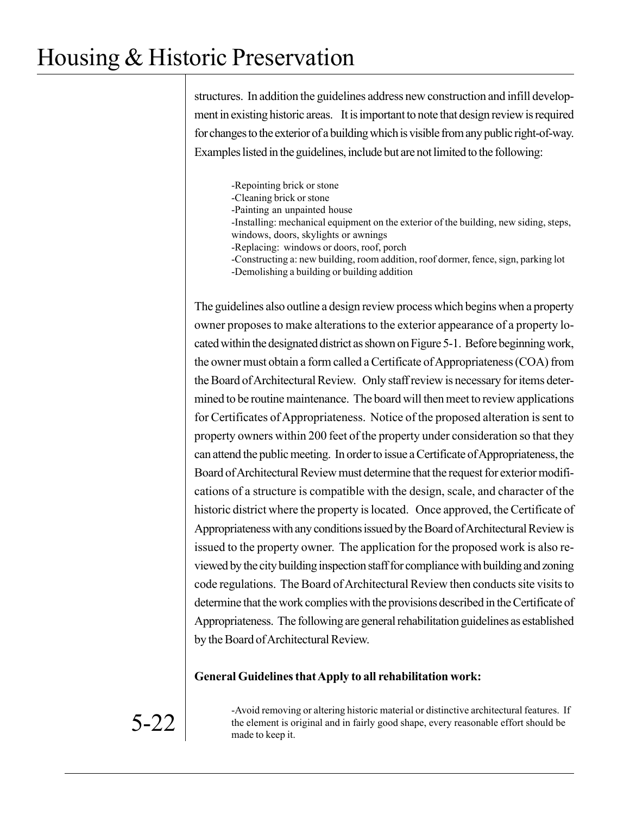structures. In addition the guidelines address new construction and infill development in existing historic areas. It is important to note that design review is required for changes to the exterior of a building which is visible from any public right-of-way. Examples listed in the guidelines, include but are not limited to the following:

-Repointing brick or stone -Cleaning brick or stone -Painting an unpainted house -Installing: mechanical equipment on the exterior of the building, new siding, steps, windows, doors, skylights or awnings -Replacing: windows or doors, roof, porch -Constructing a: new building, room addition, roof dormer, fence, sign, parking lot -Demolishing a building or building addition

The guidelines also outline a design review process which begins when a property owner proposes to make alterations to the exterior appearance of a property located within the designated district as shown on Figure 5-1. Before beginning work, the owner must obtain a form called a Certificate of Appropriateness (COA) from the Board of Architectural Review. Only staff review is necessary for items determined to be routine maintenance. The board will then meet to review applications for Certificates of Appropriateness. Notice of the proposed alteration is sent to property owners within 200 feet of the property under consideration so that they can attend the public meeting. In order to issue a Certificate of Appropriateness, the Board of Architectural Review must determine that the request for exterior modifications of a structure is compatible with the design, scale, and character of the historic district where the property is located. Once approved, the Certificate of Appropriateness with any conditions issued by the Board of Architectural Review is issued to the property owner. The application for the proposed work is also reviewed by the city building inspection staff for compliance with building and zoning code regulations. The Board of Architectural Review then conducts site visits to determine that the work complies with the provisions described in the Certificate of Appropriateness. The following are general rehabilitation guidelines as established by the Board of Architectural Review.

### **General Guidelines that Apply to all rehabilitation work:**

-Avoid removing or altering historic material or distinctive architectural features. If the element is original and in fairly good shape, every reasonable effort should be made to keep it.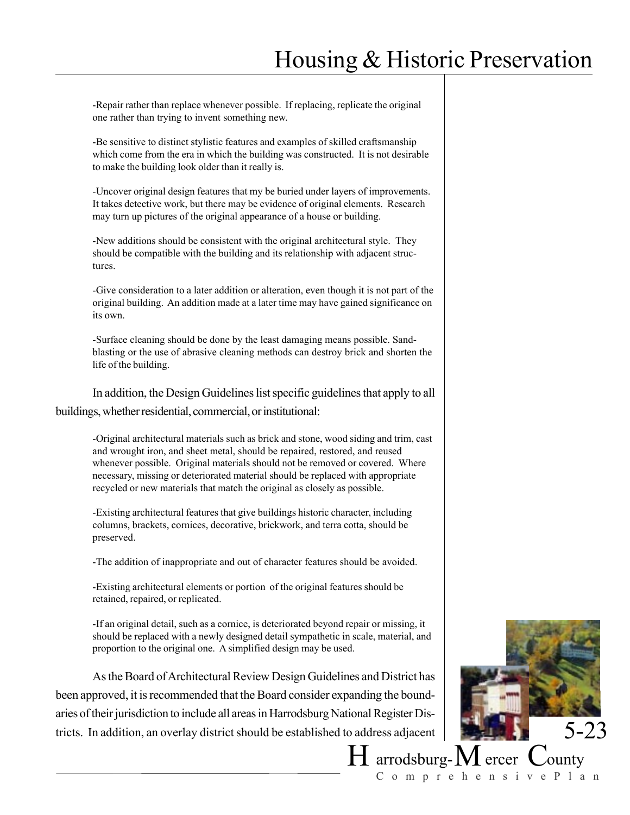-Repair rather than replace whenever possible. If replacing, replicate the original one rather than trying to invent something new.

-Be sensitive to distinct stylistic features and examples of skilled craftsmanship which come from the era in which the building was constructed. It is not desirable to make the building look older than it really is.

-Uncover original design features that my be buried under layers of improvements. It takes detective work, but there may be evidence of original elements. Research may turn up pictures of the original appearance of a house or building.

-New additions should be consistent with the original architectural style. They should be compatible with the building and its relationship with adjacent structures.

-Give consideration to a later addition or alteration, even though it is not part of the original building. An addition made at a later time may have gained significance on its own.

-Surface cleaning should be done by the least damaging means possible. Sandblasting or the use of abrasive cleaning methods can destroy brick and shorten the life of the building.

In addition, the Design Guidelines list specific guidelines that apply to all buildings, whether residential, commercial, or institutional:

-Original architectural materials such as brick and stone, wood siding and trim, cast and wrought iron, and sheet metal, should be repaired, restored, and reused whenever possible. Original materials should not be removed or covered. Where necessary, missing or deteriorated material should be replaced with appropriate recycled or new materials that match the original as closely as possible.

-Existing architectural features that give buildings historic character, including columns, brackets, cornices, decorative, brickwork, and terra cotta, should be preserved.

-The addition of inappropriate and out of character features should be avoided.

-Existing architectural elements or portion of the original features should be retained, repaired, or replicated.

-If an original detail, such as a cornice, is deteriorated beyond repair or missing, it should be replaced with a newly designed detail sympathetic in scale, material, and proportion to the original one. A simplified design may be used.

As the Board of Architectural Review Design Guidelines and District has been approved, it is recommended that the Board consider expanding the boundaries of their jurisdiction to include all areas in Harrodsburg National Register Districts. In addition, an overlay district should be established to address adjacent



 $H$  arrodsburg- $M$  ercer  $C$ ounty ComprehensivePlan